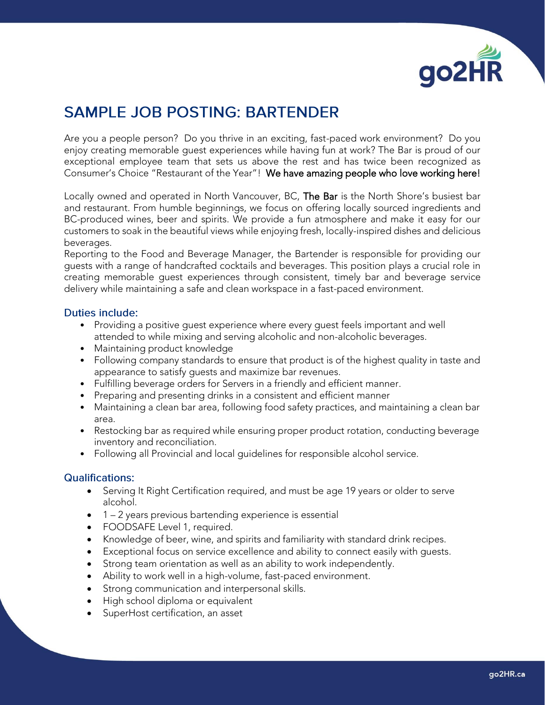

# **SAMPLE JOB POSTING: BARTENDER**

Are you a people person? Do you thrive in an exciting, fast-paced work environment? Do you enjoy creating memorable guest experiences while having fun at work? The Bar is proud of our exceptional employee team that sets us above the rest and has twice been recognized as Consumer's Choice "Restaurant of the Year"! We have amazing people who love working here!

Locally owned and operated in North Vancouver, BC, The Bar is the North Shore's busiest bar and restaurant. From humble beginnings, we focus on offering locally sourced ingredients and BC-produced wines, beer and spirits. We provide a fun atmosphere and make it easy for our customers to soak in the beautiful views while enjoying fresh, locally-inspired dishes and delicious beverages.

Reporting to the Food and Beverage Manager, the Bartender is responsible for providing our guests with a range of handcrafted cocktails and beverages. This position plays a crucial role in creating memorable guest experiences through consistent, timely bar and beverage service delivery while maintaining a safe and clean workspace in a fast-paced environment.

#### **Duties include:**

- Providing a positive guest experience where every guest feels important and well attended to while mixing and serving alcoholic and non-alcoholic beverages.
- Maintaining product knowledge
- Following company standards to ensure that product is of the highest quality in taste and appearance to satisfy guests and maximize bar revenues.
- Fulfilling beverage orders for Servers in a friendly and efficient manner.
- Preparing and presenting drinks in a consistent and efficient manner
- Maintaining a clean bar area, following food safety practices, and maintaining a clean bar area.
- Restocking bar as required while ensuring proper product rotation, conducting beverage inventory and reconciliation.
- Following all Provincial and local guidelines for responsible alcohol service.

#### **Qualifications:**

- Serving It Right Certification required, and must be age 19 years or older to serve alcohol.
- 1 2 years previous bartending experience is essential
- FOODSAFE Level 1, required.
- Knowledge of beer, wine, and spirits and familiarity with standard drink recipes.
- Exceptional focus on service excellence and ability to connect easily with guests.
- Strong team orientation as well as an ability to work independently.
- Ability to work well in a high-volume, fast-paced environment.
- Strong communication and interpersonal skills.
- High school diploma or equivalent
- SuperHost certification, an asset